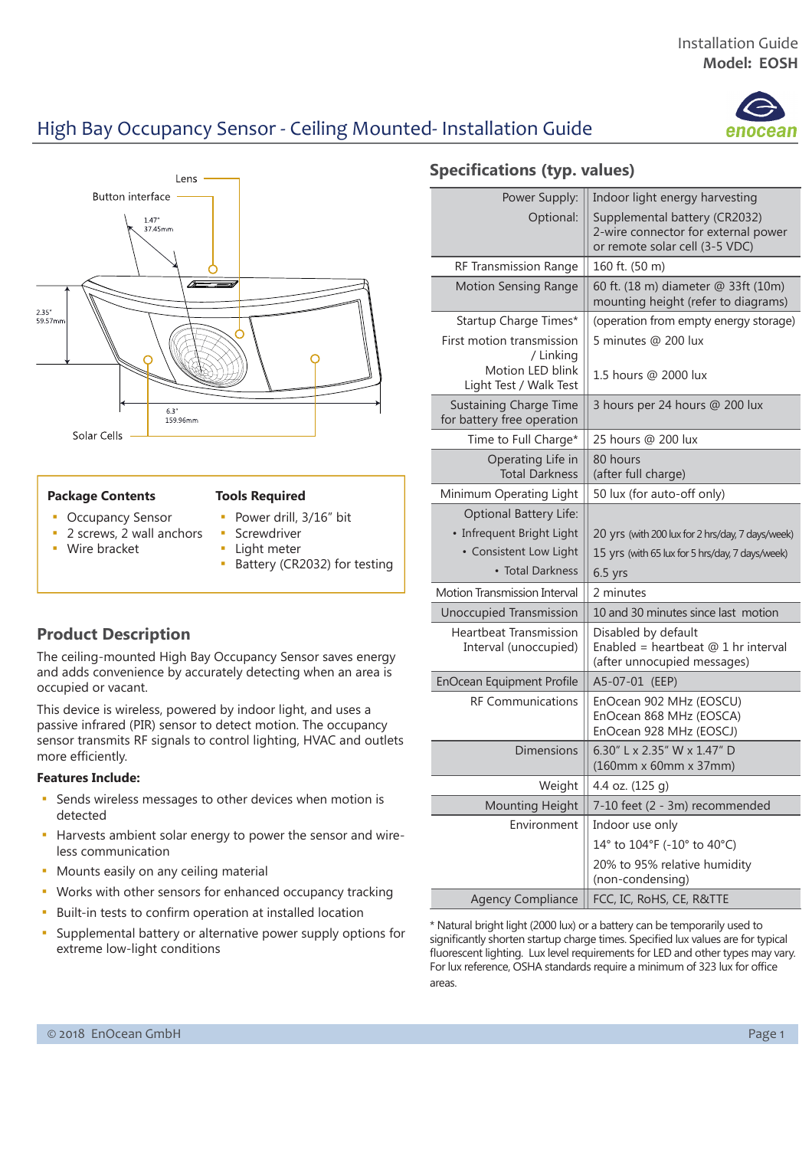# High Bay Occupancy Sensor - Ceiling Mounted- Installation Guide



#### **Package Contents**

### **Tools Required**

- **Occupancy Sensor**
- Power drill, 3/16" bit
- **•** 2 screws, 2 wall anchors
- Wire bracket
- **•** Screwdriver
- **·** Light meter
	- Battery (CR2032) for testing

### **Product Description**

The ceiling-mounted High Bay Occupancy Sensor saves energy and adds convenience by accurately detecting when an area is occupied or vacant.

This device is wireless, powered by indoor light, and uses a passive infrared (PIR) sensor to detect motion. The occupancy sensor transmits RF signals to control lighting, HVAC and outlets more efficiently.

#### **Features Include:**

- **EXECT** Sends wireless messages to other devices when motion is detected
- Harvests ambient solar energy to power the sensor and wireless communication
- **Mounts easily on any ceiling material**
- Works with other sensors for enhanced occupancy tracking
- **EXECT:** Built-in tests to confirm operation at installed location
- Supplemental battery or alternative power supply options for extreme low-light conditions

### **Specifications (typ. values)**

| Power Supply:                                               | Indoor light energy harvesting                                                                         |
|-------------------------------------------------------------|--------------------------------------------------------------------------------------------------------|
| Optional:                                                   | Supplemental battery (CR2032)<br>2-wire connector for external power<br>or remote solar cell (3-5 VDC) |
| RF Transmission Range                                       | 160 ft. (50 m)                                                                                         |
| <b>Motion Sensing Range</b>                                 | 60 ft. (18 m) diameter @ 33ft (10m)<br>mounting height (refer to diagrams)                             |
| Startup Charge Times*                                       | (operation from empty energy storage)                                                                  |
| First motion transmission<br>/ Linking<br>Motion LED blink  | 5 minutes @ 200 lux<br>1.5 hours @ 2000 lux                                                            |
| Light Test / Walk Test                                      |                                                                                                        |
| <b>Sustaining Charge Time</b><br>for battery free operation | 3 hours per 24 hours @ 200 lux                                                                         |
| Time to Full Charge*                                        | 25 hours @ 200 lux                                                                                     |
| Operating Life in<br><b>Total Darkness</b>                  | 80 hours<br>(after full charge)                                                                        |
| Minimum Operating Light                                     | 50 lux (for auto-off only)                                                                             |
| <b>Optional Battery Life:</b>                               |                                                                                                        |
| • Infrequent Bright Light                                   | 20 yrs (with 200 lux for 2 hrs/day, 7 days/week)                                                       |
| • Consistent Low Light                                      | 15 yrs (with 65 lux for 5 hrs/day, 7 days/week)                                                        |
| • Total Darkness                                            | $6.5$ yrs                                                                                              |
| Motion Transmission Interval                                | 2 minutes                                                                                              |
| Unoccupied Transmission                                     | 10 and 30 minutes since last motion                                                                    |
| <b>Heartbeat Transmission</b><br>Interval (unoccupied)      | Disabled by default<br>Enabled = heartbeat $@1$ hr interval<br>(after unnocupied messages)             |
| EnOcean Equipment Profile                                   | A5-07-01 (EEP)                                                                                         |
| <b>RF Communications</b>                                    | EnOcean 902 MHz (EOSCU)<br>EnOcean 868 MHz (EOSCA)<br>EnOcean 928 MHz (EOSCJ)                          |
| <b>Dimensions</b>                                           | 6.30" L x 2.35" W x 1.47" D<br>(160mm x 60mm x 37mm)                                                   |
| Weight                                                      | 4.4 oz. (125 g)                                                                                        |
| <b>Mounting Height</b>                                      | 7-10 feet (2 - 3m) recommended                                                                         |
| Environment                                                 | Indoor use only                                                                                        |
|                                                             | 14° to 104°F (-10° to 40°C)                                                                            |
|                                                             | 20% to 95% relative humidity<br>(non-condensing)                                                       |
| <b>Agency Compliance</b>                                    | FCC, IC, RoHS, CE, R&TTE                                                                               |

\* Natural bright light (2000 lux) or a battery can be temporarily used to significantly shorten startup charge times. Specified lux values are for typical fluorescent lighting. Lux level requirements for LED and other types may vary. For lux reference, OSHA standards require a minimum of 323 lux for office areas.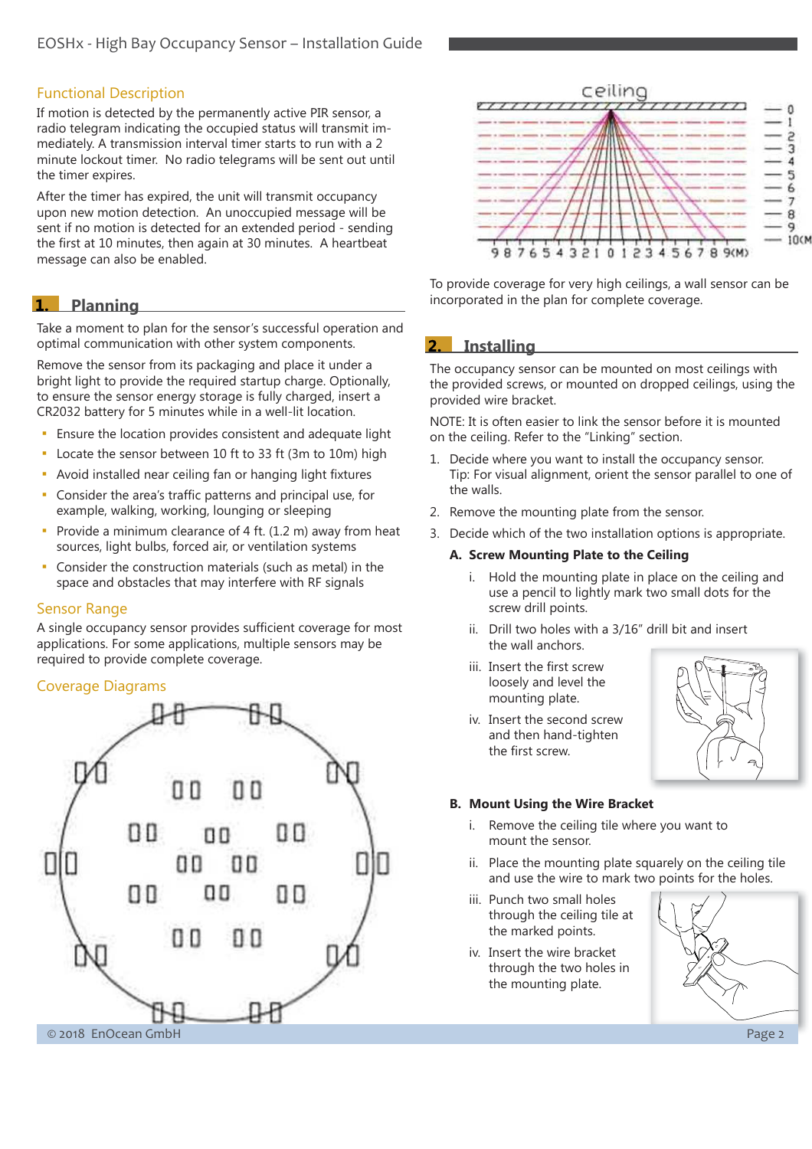### Functional Description

If motion is detected by the permanently active PIR sensor, a radio telegram indicating the occupied status will transmit immediately. A transmission interval timer starts to run with a 2 minute lockout timer. No radio telegrams will be sent out until the timer expires.

After the timer has expired, the unit will transmit occupancy upon new motion detection. An unoccupied message will be sent if no motion is detected for an extended period - sending the first at 10 minutes, then again at 30 minutes. A heartbeat message can also be enabled.

### **1.** Planning

Take a moment to plan for the sensor's successful operation and optimal communication with other system components.

Remove the sensor from its packaging and place it under a bright light to provide the required startup charge. Optionally, to ensure the sensor energy storage is fully charged, insert a CR2032 battery for 5 minutes while in a well-lit location.

- Ensure the location provides consistent and adequate light
- Locate the sensor between 10 ft to 33 ft (3m to 10m) high
- **EXECT** Avoid installed near ceiling fan or hanging light fixtures
- Consider the area's traffic patterns and principal use, for example, walking, working, lounging or sleeping
- **Provide a minimum clearance of 4 ft.**  $(1.2 \text{ m})$  **away from heat** sources, light bulbs, forced air, or ventilation systems
- Consider the construction materials (such as metal) in the space and obstacles that may interfere with RF signals

### Sensor Range

A single occupancy sensor provides sufficient coverage for most applications. For some applications, multiple sensors may be required to provide complete coverage.

### Coverage Diagrams





To provide coverage for very high ceilings, a wall sensor can be incorporated in the plan for complete coverage.

#### $2.$ **Installing**

The occupancy sensor can be mounted on most ceilings with the provided screws, or mounted on dropped ceilings, using the provided wire bracket.

NOTE: It is often easier to link the sensor before it is mounted on the ceiling. Refer to the "Linking" section.

- 1. Decide where you want to install the occupancy sensor. Tip: For visual alignment, orient the sensor parallel to one of the walls.
- 2. Remove the mounting plate from the sensor.
- 3. Decide which of the two installation options is appropriate.

#### **A. Screw Mounting Plate to the Ceiling**

- i. Hold the mounting plate in place on the ceiling and use a pencil to lightly mark two small dots for the screw drill points.
- ii. Drill two holes with a 3/16" drill bit and insert the wall anchors.
- iii. Insert the first screw loosely and level the mounting plate.
- iv. Insert the second screw and then hand-tighten the first screw.



#### **B. Mount Using the Wire Bracket**

- i. Remove the ceiling tile where you want to mount the sensor.
- ii. Place the mounting plate squarely on the ceiling tile and use the wire to mark two points for the holes.
- iii. Punch two small holes through the ceiling tile at the marked points.
- iv. Insert the wire bracket through the two holes in the mounting plate.

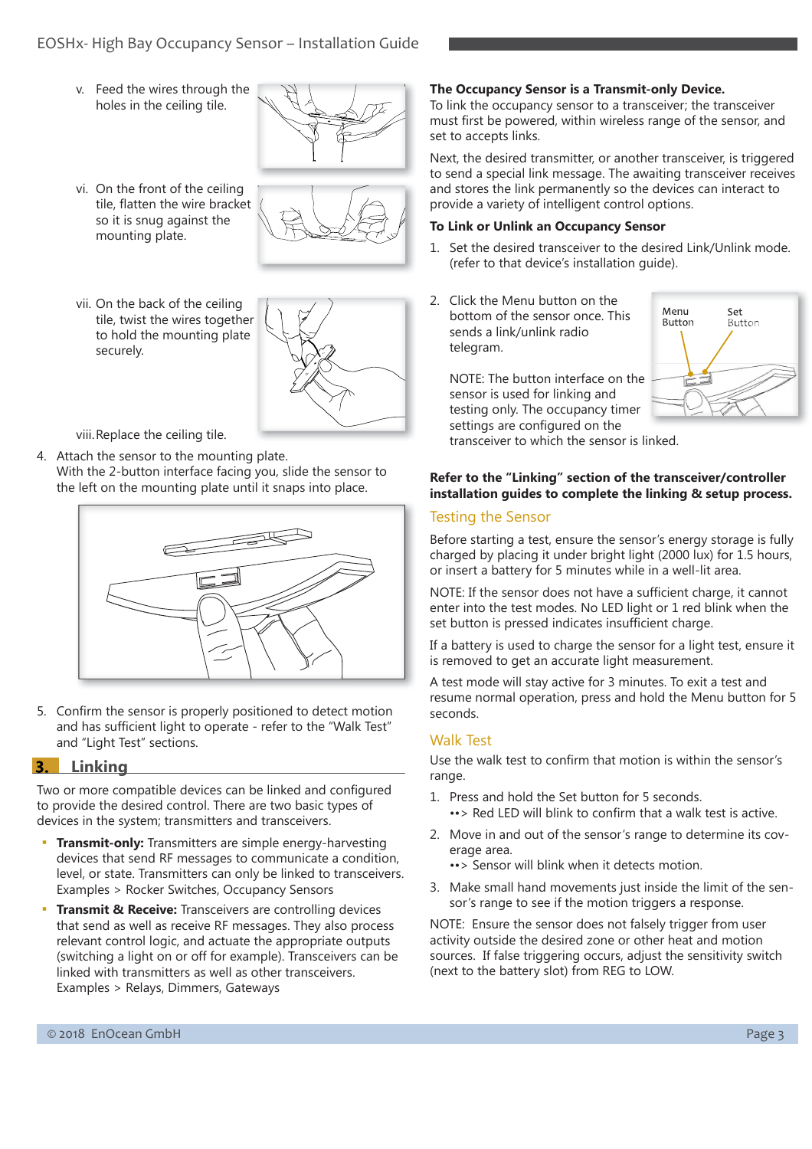### EOSHx- High Bay Occupancy Sensor – Installation Guide

v. Feed the wires through the holes in the ceiling tile.



vi. On the front of the ceiling tile, flatten the wire bracket so it is snug against the mounting plate.



vii. On the back of the ceiling tile, twist the wires together to hold the mounting plate securely.



viii. Replace the ceiling tile.

4. Attach the sensor to the mounting plate. With the 2-button interface facing you, slide the sensor to the left on the mounting plate until it snaps into place.



5. Confirm the sensor is properly positioned to detect motion and has sufficient light to operate - refer to the "Walk Test" and "Light Test" sections.

### **3.** Linkina

Two or more compatible devices can be linked and configured to provide the desired control. There are two basic types of devices in the system; transmitters and transceivers.

- **Transmit-only:** Transmitters are simple energy-harvesting devices that send RF messages to communicate a condition, level, or state. Transmitters can only be linked to transceivers. Examples > Rocker Switches, Occupancy Sensors
- **Transmit & Receive:** Transceivers are controlling devices that send as well as receive RF messages. They also process relevant control logic, and actuate the appropriate outputs (switching a light on or off for example). Transceivers can be linked with transmitters as well as other transceivers. Examples > Relays, Dimmers, Gateways

#### **The Occupancy Sensor is a Transmit-only Device.**

To link the occupancy sensor to a transceiver; the transceiver must first be powered, within wireless range of the sensor, and set to accepts links.

Next, the desired transmitter, or another transceiver, is triggered to send a special link message. The awaiting transceiver receives and stores the link permanently so the devices can interact to provide a variety of intelligent control options.

#### **To Link or Unlink an Occupancy Sensor**

- 1. Set the desired transceiver to the desired Link/Unlink mode. (refer to that device's installation guide).
- 2. Click the Menu button on the bottom of the sensor once. This sends a link/unlink radio telegram.



NOTE: The button interface on the sensor is used for linking and testing only. The occupancy timer settings are configured on the transceiver to which the sensor is linked.

### **Refer to the "Linking" section of the transceiver/controller installation guides to complete the linking & setup process.**

### Testing the Sensor

Before starting a test, ensure the sensor's energy storage is fully charged by placing it under bright light (2000 lux) for 1.5 hours, or insert a battery for 5 minutes while in a well-lit area.

NOTE: If the sensor does not have a sufficient charge, it cannot enter into the test modes. No LED light or 1 red blink when the set button is pressed indicates insufficient charge.

If a battery is used to charge the sensor for a light test, ensure it is removed to get an accurate light measurement.

A test mode will stay active for 3 minutes. To exit a test and resume normal operation, press and hold the Menu button for 5 seconds.

### Walk Test

Use the walk test to confirm that motion is within the sensor's range.

- 1. Press and hold the Set button for 5 seconds. •• > Red LED will blink to confirm that a walk test is active.
- 2. Move in and out of the sensor's range to determine its coverage area.
	- ••> Sensor will blink when it detects motion.
- 3. Make small hand movements just inside the limit of the sensor's range to see if the motion triggers a response.

NOTE: Ensure the sensor does not falsely trigger from user activity outside the desired zone or other heat and motion sources. If false triggering occurs, adjust the sensitivity switch (next to the battery slot) from REG to LOW.